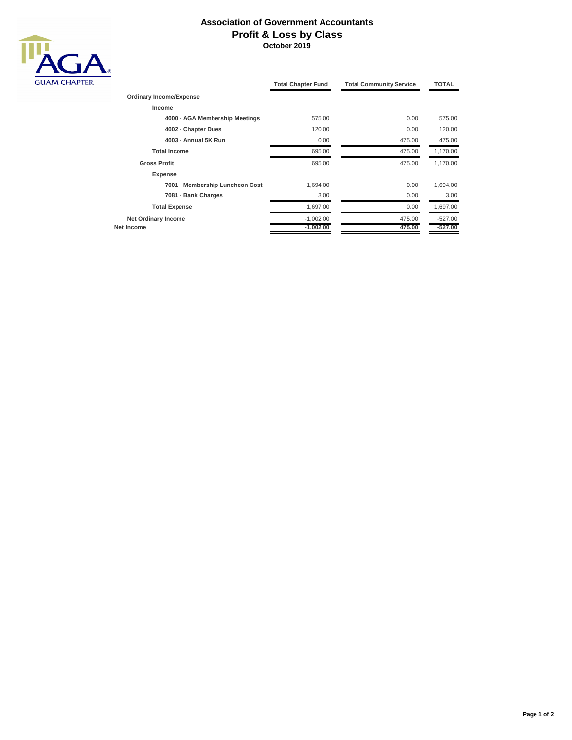## **Association of Government Accountants Profit & Loss by Class October 2019**



|                                 | <b>Total Chapter Fund</b><br><b>Total Community Service</b> |        | <b>TOTAL</b> |
|---------------------------------|-------------------------------------------------------------|--------|--------------|
| <b>Ordinary Income/Expense</b>  |                                                             |        |              |
| Income                          |                                                             |        |              |
| 4000 · AGA Membership Meetings  | 575.00                                                      | 0.00   | 575.00       |
| 4002 - Chapter Dues             | 120.00                                                      | 0.00   | 120.00       |
| 4003 - Annual 5K Run            | 0.00                                                        | 475.00 | 475.00       |
| <b>Total Income</b>             | 695.00                                                      | 475.00 | 1,170.00     |
| <b>Gross Profit</b>             | 695.00                                                      | 475.00 | 1,170.00     |
| <b>Expense</b>                  |                                                             |        |              |
| 7001 - Membership Luncheon Cost | 1.694.00                                                    | 0.00   | 1,694.00     |
| 7081 · Bank Charges             | 3.00                                                        | 0.00   | 3.00         |
| <b>Total Expense</b>            | 1,697.00                                                    | 0.00   | 1,697.00     |
| <b>Net Ordinary Income</b>      | $-1,002.00$                                                 | 475.00 | $-527.00$    |
| Net Income                      | $-1,002.00$                                                 | 475.00 | $-527.00$    |